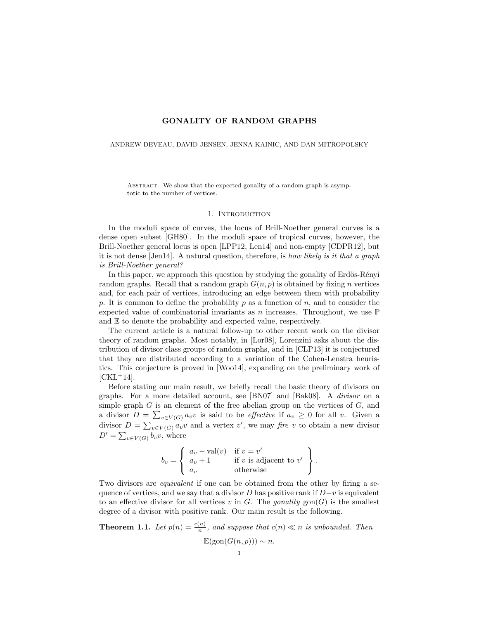# GONALITY OF RANDOM GRAPHS

### ANDREW DEVEAU, DAVID JENSEN, JENNA KAINIC, AND DAN MITROPOLSKY

ABSTRACT. We show that the expected gonality of a random graph is asymptotic to the number of vertices.

# 1. INTRODUCTION

In the moduli space of curves, the locus of Brill-Noether general curves is a dense open subset [GH80]. In the moduli space of tropical curves, however, the Brill-Noether general locus is open [LPP12, Len14] and non-empty [CDPR12], but it is not dense [Jen14]. A natural question, therefore, is how likely is it that a graph is Brill-Noether general?

In this paper, we approach this question by studying the gonality of Erdös-Rényi random graphs. Recall that a random graph  $G(n, p)$  is obtained by fixing n vertices and, for each pair of vertices, introducing an edge between them with probability p. It is common to define the probability p as a function of  $n$ , and to consider the expected value of combinatorial invariants as n increases. Throughout, we use  $\mathbb P$ and E to denote the probability and expected value, respectively.

The current article is a natural follow-up to other recent work on the divisor theory of random graphs. Most notably, in [Lor08], Lorenzini asks about the distribution of divisor class groups of random graphs, and in [CLP13] it is conjectured that they are distributed according to a variation of the Cohen-Lenstra heuristics. This conjecture is proved in [Woo14], expanding on the preliminary work of  $[CKL+14]$ .

Before stating our main result, we briefly recall the basic theory of divisors on graphs. For a more detailed account, see [BN07] and [Bak08]. A divisor on a simple graph  $G$  is an element of the free abelian group on the vertices of  $G$ , and a divisor  $D = \sum_{v \in V(G)} a_v v$  is said to be *effective* if  $a_v \geq 0$  for all v. Given a divisor  $D = \sum_{v \in V(G)} a_v v$  and a vertex v', we may fire v to obtain a new divisor  $D' = \sum_{v \in V(G)} b_v v$ , where

$$
b_v = \begin{cases} a_v - \text{val}(v) & \text{if } v = v' \\ a_v + 1 & \text{if } v \text{ is adjacent to } v' \\ a_v & \text{otherwise} \end{cases}.
$$

Two divisors are equivalent if one can be obtained from the other by firing a sequence of vertices, and we say that a divisor D has positive rank if  $D-v$  is equivalent to an effective divisor for all vertices v in  $G$ . The gonality gon( $G$ ) is the smallest degree of a divisor with positive rank. Our main result is the following.

**Theorem 1.1.** Let  $p(n) = \frac{c(n)}{n}$ , and suppose that  $c(n) \ll n$  is unbounded. Then  $\mathbb{E}(\text{gon}(G(n, p))) \sim n.$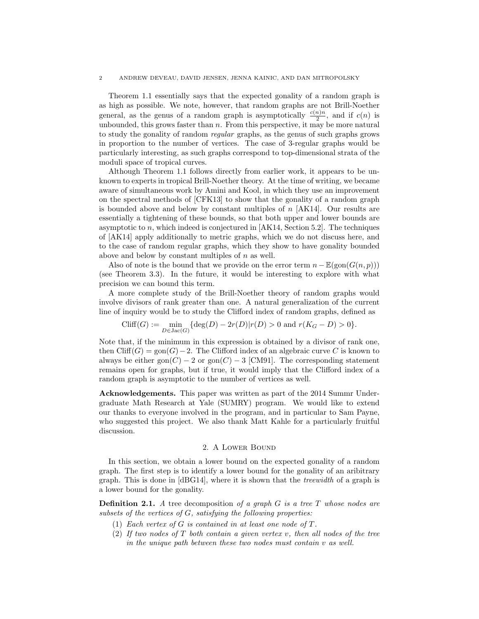Theorem 1.1 essentially says that the expected gonality of a random graph is as high as possible. We note, however, that random graphs are not Brill-Noether general, as the genus of a random graph is asymptotically  $\frac{c(n)n}{2}$ , and if  $c(n)$  is unbounded, this grows faster than  $n$ . From this perspective, it may be more natural to study the gonality of random regular graphs, as the genus of such graphs grows in proportion to the number of vertices. The case of 3-regular graphs would be particularly interesting, as such graphs correspond to top-dimensional strata of the moduli space of tropical curves.

Although Theorem 1.1 follows directly from earlier work, it appears to be unknown to experts in tropical Brill-Noether theory. At the time of writing, we became aware of simultaneous work by Amini and Kool, in which they use an improvement on the spectral methods of [CFK13] to show that the gonality of a random graph is bounded above and below by constant multiples of  $n$  [AK14]. Our results are essentially a tightening of these bounds, so that both upper and lower bounds are asymptotic to  $n$ , which indeed is conjectured in [AK14, Section 5.2]. The techniques of [AK14] apply additionally to metric graphs, which we do not discuss here, and to the case of random regular graphs, which they show to have gonality bounded above and below by constant multiples of  $n$  as well.

Also of note is the bound that we provide on the error term  $n - \mathbb{E}(\text{gon}(G(n, p)))$ (see Theorem 3.3). In the future, it would be interesting to explore with what precision we can bound this term.

A more complete study of the Brill-Noether theory of random graphs would involve divisors of rank greater than one. A natural generalization of the current line of inquiry would be to study the Clifford index of random graphs, defined as

$$
\text{Cliff}(G) := \min_{D \in \text{Jac}(G)} \{ \deg(D) - 2r(D) | r(D) > 0 \text{ and } r(K_G - D) > 0 \}.
$$

Note that, if the minimum in this expression is obtained by a divisor of rank one, then Cliff(G) = gon(G) – 2. The Clifford index of an algebraic curve C is known to always be either gon( $C$ ) – 2 or gon( $C$ ) – 3 [CM91]. The corresponding statement remains open for graphs, but if true, it would imply that the Clifford index of a random graph is asymptotic to the number of vertices as well.

Acknowledgements. This paper was written as part of the 2014 Summr Undergraduate Math Research at Yale (SUMRY) program. We would like to extend our thanks to everyone involved in the program, and in particular to Sam Payne, who suggested this project. We also thank Matt Kahle for a particularly fruitful discussion.

## 2. A Lower Bound

In this section, we obtain a lower bound on the expected gonality of a random graph. The first step is to identify a lower bound for the gonality of an aribitrary graph. This is done in  $[dBG14]$ , where it is shown that the *treewidth* of a graph is a lower bound for the gonality.

**Definition 2.1.** A tree decomposition of a graph  $G$  is a tree  $T$  whose nodes are subsets of the vertices of G, satisfying the following properties:

- (1) Each vertex of G is contained in at least one node of T.
- (2) If two nodes of T both contain a given vertex v, then all nodes of the tree in the unique path between these two nodes must contain v as well.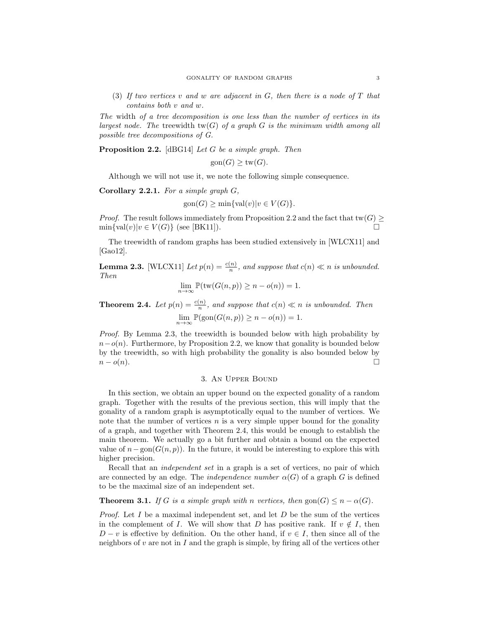(3) If two vertices v and w are adjacent in  $G$ , then there is a node of  $T$  that contains both v and w.

The width of a tree decomposition is one less than the number of vertices in its largest node. The treewidth  $tw(G)$  of a graph G is the minimum width among all possible tree decompositions of G.

Proposition 2.2. [dBG14] Let G be a simple graph. Then

 $\operatorname{gon}(G)$  >  $\operatorname{tw}(G)$ .

Although we will not use it, we note the following simple consequence.

**Corollary 2.2.1.** For a simple graph  $G$ ,

$$
gon(G) \ge \min\{val(v)|v \in V(G)\}.
$$

*Proof.* The result follows immediately from Proposition 2.2 and the fact that tw(G)  $\geq$  $\min\{\text{val}(v)|v \in V(G)\}\$  (see [BK11]).

The treewidth of random graphs has been studied extensively in [WLCX11] and [Gao12].

**Lemma 2.3.** [WLCX11] Let  $p(n) = \frac{c(n)}{n}$ , and suppose that  $c(n) \ll n$  is unbounded. Then

$$
\lim_{n \to \infty} \mathbb{P}(\text{tw}(G(n, p)) \ge n - o(n)) = 1.
$$

**Theorem 2.4.** Let  $p(n) = \frac{c(n)}{n}$ , and suppose that  $c(n) \ll n$  is unbounded. Then

 $\lim_{n \to \infty} \mathbb{P}(\text{gon}(G(n, p)) \geq n - o(n)) = 1.$ 

Proof. By Lemma 2.3, the treewidth is bounded below with high probability by  $n-o(n)$ . Furthermore, by Proposition 2.2, we know that gonality is bounded below by the treewidth, so with high probability the gonality is also bounded below by  $n-o(n).$ 

## 3. An Upper Bound

In this section, we obtain an upper bound on the expected gonality of a random graph. Together with the results of the previous section, this will imply that the gonality of a random graph is asymptotically equal to the number of vertices. We note that the number of vertices  $n$  is a very simple upper bound for the gonality of a graph, and together with Theorem 2.4, this would be enough to establish the main theorem. We actually go a bit further and obtain a bound on the expected value of  $n-\text{gon}(G(n, p))$ . In the future, it would be interesting to explore this with higher precision.

Recall that an *independent set* in a graph is a set of vertices, no pair of which are connected by an edge. The *independence number*  $\alpha(G)$  of a graph G is defined to be the maximal size of an independent set.

**Theorem 3.1.** If G is a simple graph with n vertices, then  $\text{gon}(G) \leq n - \alpha(G)$ .

*Proof.* Let  $I$  be a maximal independent set, and let  $D$  be the sum of the vertices in the complement of I. We will show that D has positive rank. If  $v \notin I$ , then  $D - v$  is effective by definition. On the other hand, if  $v \in I$ , then since all of the neighbors of v are not in I and the graph is simple, by firing all of the vertices other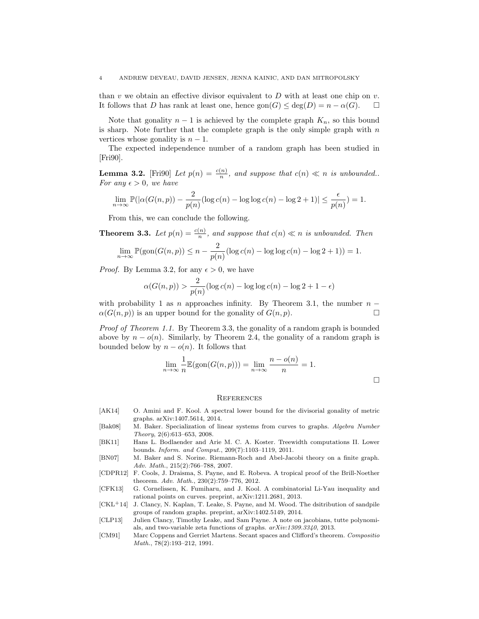than v we obtain an effective divisor equivalent to D with at least one chip on v. It follows that D has rank at least one, hence  $\text{gon}(G) \leq \text{deg}(D) = n - \alpha(G)$ .  $\Box$ 

Note that gonality  $n-1$  is achieved by the complete graph  $K_n$ , so this bound is sharp. Note further that the complete graph is the only simple graph with  $n$ vertices whose gonality is  $n-1$ .

The expected independence number of a random graph has been studied in [Fri90].

**Lemma 3.2.** [Fri90] Let  $p(n) = \frac{c(n)}{n}$ , and suppose that  $c(n) \ll n$  is unbounded.. For any  $\epsilon > 0$ , we have

$$
\lim_{n \to \infty} \mathbb{P}(|\alpha(G(n, p)) - \frac{2}{p(n)}(\log c(n) - \log \log c(n) - \log 2 + 1)| \le \frac{\epsilon}{p(n)} = 1.
$$

From this, we can conclude the following.

**Theorem 3.3.** Let  $p(n) = \frac{c(n)}{n}$ , and suppose that  $c(n) \ll n$  is unbounded. Then

$$
\lim_{n \to \infty} \mathbb{P}(\text{gon}(G(n, p)) \le n - \frac{2}{p(n)} (\log c(n) - \log \log c(n) - \log 2 + 1)) = 1.
$$

*Proof.* By Lemma 3.2, for any  $\epsilon > 0$ , we have

$$
\alpha(G(n,p)) > \frac{2}{p(n)}(\log c(n) - \log \log c(n) - \log 2 + 1 - \epsilon)
$$

with probability 1 as n approaches infinity. By Theorem 3.1, the number  $n \alpha(G(n, p))$  is an upper bound for the gonality of  $G(n, p)$ .

Proof of Theorem 1.1. By Theorem 3.3, the gonality of a random graph is bounded above by  $n - o(n)$ . Similarly, by Theorem 2.4, the gonality of a random graph is bounded below by  $n - o(n)$ . It follows that

$$
\lim_{n \to \infty} \frac{1}{n} \mathbb{E}(\text{gon}(G(n, p))) = \lim_{n \to \infty} \frac{n - o(n)}{n} = 1.
$$

#### **REFERENCES**

- [AK14] O. Amini and F. Kool. A spectral lower bound for the divisorial gonality of metric graphs. arXiv:1407.5614, 2014.
- [Bak08] M. Baker. Specialization of linear systems from curves to graphs. Algebra Number Theory, 2(6):613–653, 2008.
- [BK11] Hans L. Bodlaender and Arie M. C. A. Koster. Treewidth computations II. Lower bounds. Inform. and Comput., 209(7):1103–1119, 2011.
- [BN07] M. Baker and S. Norine. Riemann-Roch and Abel-Jacobi theory on a finite graph. Adv. Math., 215(2):766–788, 2007.
- [CDPR12] F. Cools, J. Draisma, S. Payne, and E. Robeva. A tropical proof of the Brill-Noether theorem. Adv. Math., 230(2):759–776, 2012.
- [CFK13] G. Cornelissen, K. Fumiharu, and J. Kool. A combinatorial Li-Yau inequality and rational points on curves. preprint, arXiv:1211.2681, 2013.
- [CKL+14] J. Clancy, N. Kaplan, T. Leake, S. Payne, and M. Wood. The dsitribution of sandpile groups of random graphs. preprint, arXiv:1402.5149, 2014.
- [CLP13] Julien Clancy, Timothy Leake, and Sam Payne. A note on jacobians, tutte polynomials, and two-variable zeta functions of graphs. arXiv:1309.3340, 2013.
- [CM91] Marc Coppens and Gerriet Martens. Secant spaces and Clifford's theorem. Compositio Math., 78(2):193–212, 1991.